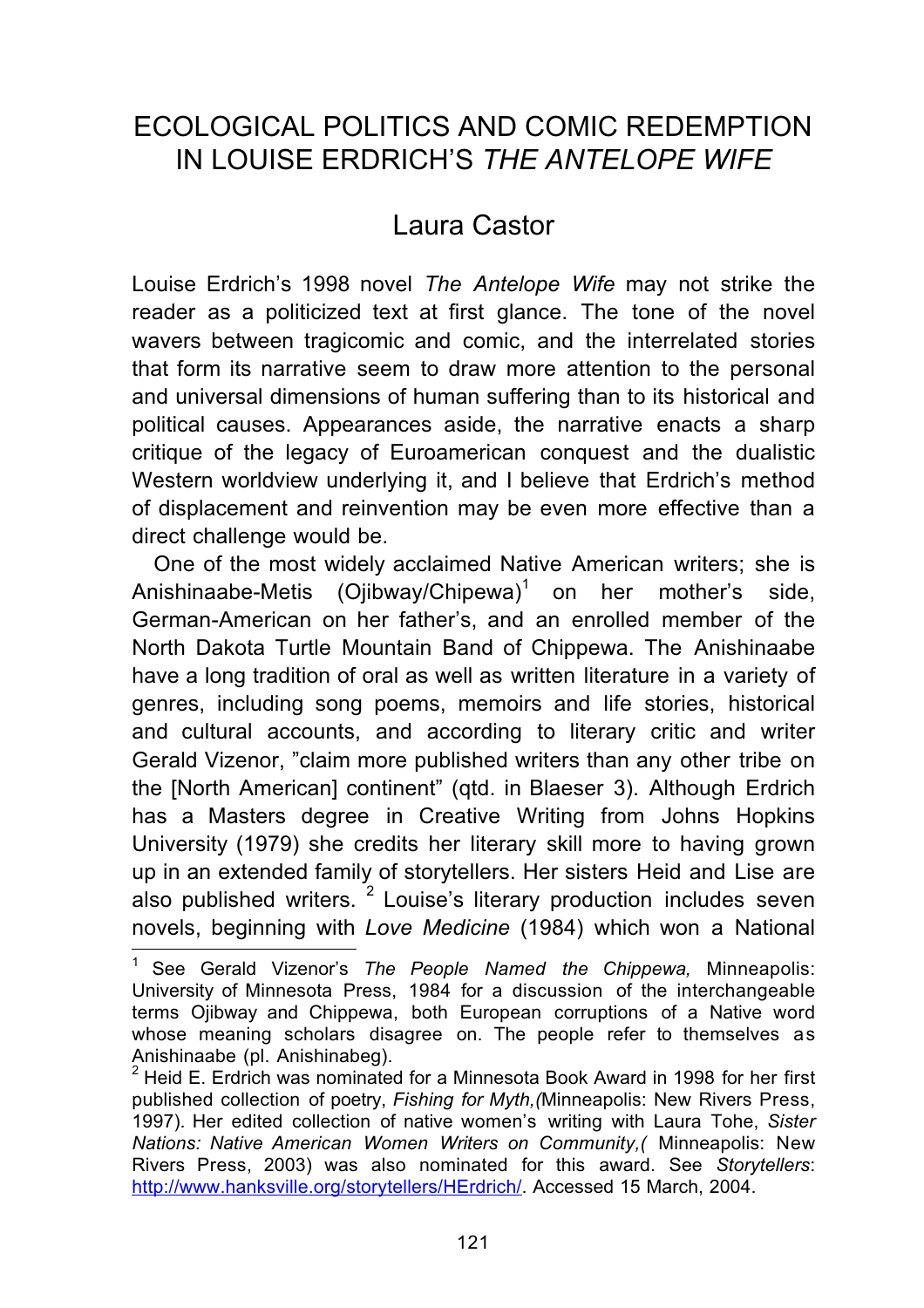## ECOLOGICAL POLITICS AND COMIC REDEMPTION IN LOUISE ERDRICH'S *THE ANTELOPE WIFE*

## Laura Castor

Louise Erdrich's 1998 novel *The Antelope Wife* may not strike the reader as a politicized text at first glance. The tone of the novel wavers between tragicomic and comic, and the interrelated stories that form its narrative seem to draw more attention to the personal and universal dimensions of human suffering than to its historical and political causes. Appearances aside, the narrative enacts a sharp critique of the legacy of Euroamerican conquest and the dualistic Western worldview underlying it, and I believe that Erdrich's method of displacement and reinvention may be even more effective than a direct challenge would be.

One of the most widely acclaimed Native American writers; she is Anishinaabe-Metis (Ojibway/Chipewa)<sup>1</sup> on her mother's side, German-American on her father's, and an enrolled member of the North Dakota Turtle Mountain Band of Chippewa. The Anishinaabe have a long tradition of oral as well as written literature in a variety of genres, including song poems, memoirs and life stories, historical and cultural accounts, and according to literary critic and writer Gerald Vizenor, "claim more published writers than any other tribe on the [North American] continent" (qtd. in Blaeser 3). Although Erdrich has a Masters degree in Creative Writing from Johns Hopkins University (1979) she credits her literary skill more to having grown up in an extended family of storytellers. Her sisters Heid and Lise are also published writers.  $2$  Louise's literary production includes seven novels, beginning with *Love Medicine* (1984) which won a National

<sup>1</sup> See Gerald Vizenor's *The People Named the Chippewa,* Minneapolis: University of Minnesota Press, 1984 for a discussion of the interchangeable terms Ojibway and Chippewa, both European corruptions of a Native word whose meaning scholars disagree on. The people refer to themselves as Anishinaabe (pl. Anishinabeg).

<sup>2</sup> Heid E. Erdrich was nominated for a Minnesota Book Award in 1998 for her first published collection of poetry, *Fishing for Myth,(*Minneapolis: New Rivers Press, 1997)*.* Her edited collection of native women's writing with Laura Tohe, *Sister Nations: Native American Women Writers on Community,(* Minneapolis: New Rivers Press, 2003) was also nominated for this award. See *Storytellers*: http://www.hanksville.org/storytellers/HErdrich/. Accessed 15 March, 2004.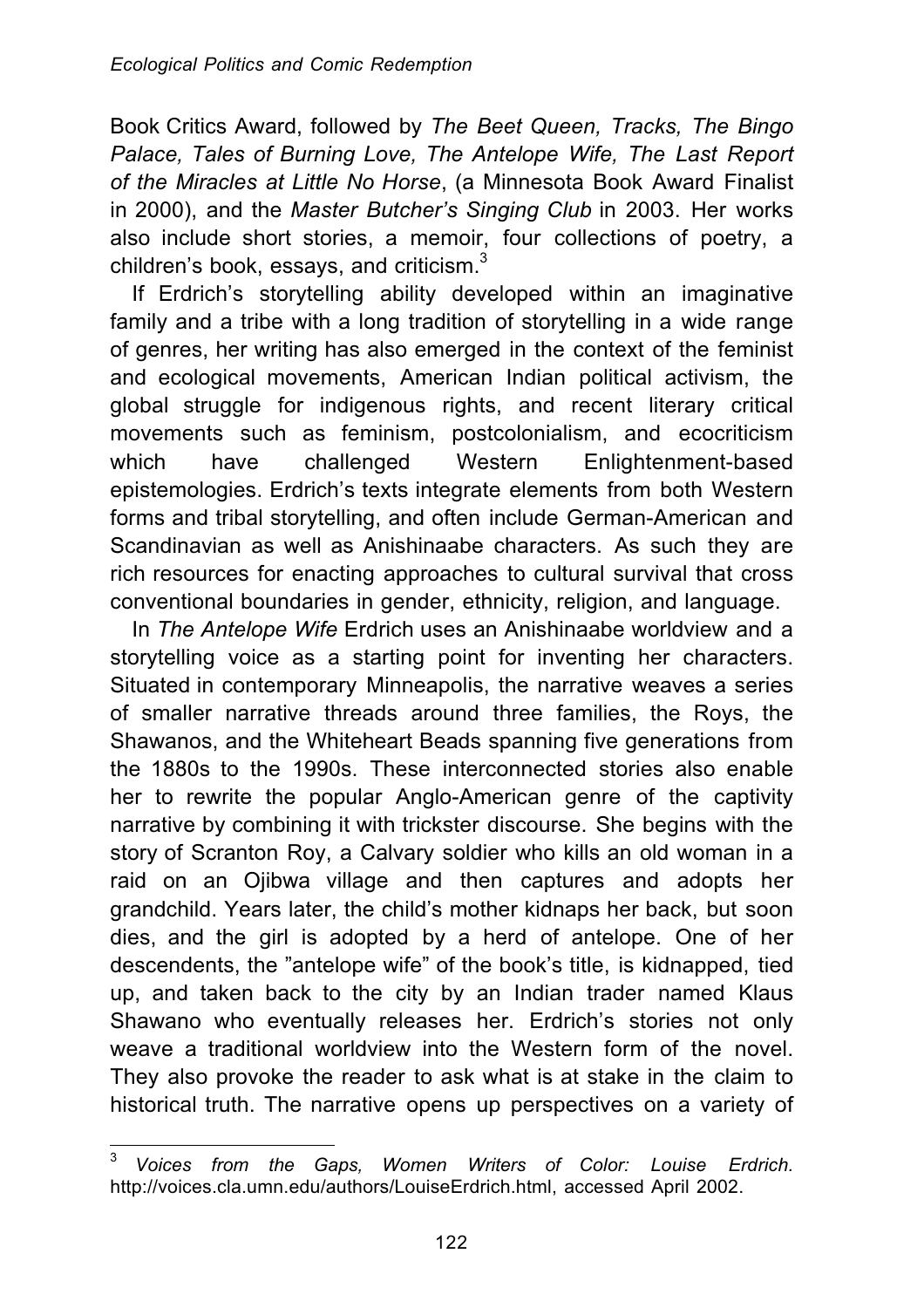Book Critics Award, followed by *The Beet Queen, Tracks, The Bingo Palace, Tales of Burning Love, The Antelope Wife, The Last Report of the Miracles at Little No Horse*, (a Minnesota Book Award Finalist in 2000), and the *Master Butcher's Singing Club* in 2003. Her works also include short stories, a memoir, four collections of poetry, a children's book, essays, and criticism.<sup>3</sup>

If Erdrich's storytelling ability developed within an imaginative family and a tribe with a long tradition of storytelling in a wide range of genres, her writing has also emerged in the context of the feminist and ecological movements, American Indian political activism, the global struggle for indigenous rights, and recent literary critical movements such as feminism, postcolonialism, and ecocriticism which have challenged Western Enlightenment-based epistemologies. Erdrich's texts integrate elements from both Western forms and tribal storytelling, and often include German-American and Scandinavian as well as Anishinaabe characters. As such they are rich resources for enacting approaches to cultural survival that cross conventional boundaries in gender, ethnicity, religion, and language.

In *The Antelope Wife* Erdrich uses an Anishinaabe worldview and a storytelling voice as a starting point for inventing her characters. Situated in contemporary Minneapolis, the narrative weaves a series of smaller narrative threads around three families, the Roys, the Shawanos, and the Whiteheart Beads spanning five generations from the 1880s to the 1990s. These interconnected stories also enable her to rewrite the popular Anglo-American genre of the captivity narrative by combining it with trickster discourse. She begins with the story of Scranton Roy, a Calvary soldier who kills an old woman in a raid on an Ojibwa village and then captures and adopts her grandchild. Years later, the child's mother kidnaps her back, but soon dies, and the girl is adopted by a herd of antelope. One of her descendents, the "antelope wife" of the book's title, is kidnapped, tied up, and taken back to the city by an Indian trader named Klaus Shawano who eventually releases her. Erdrich's stories not only weave a traditional worldview into the Western form of the novel. They also provoke the reader to ask what is at stake in the claim to historical truth. The narrative opens up perspectives on a variety of

 $\mathbf{3}$ <sup>3</sup> *Voices from the Gaps, Women Writers of Color: Louise Erdrich.* http://voices.cla.umn.edu/authors/LouiseErdrich.html, accessed April 2002.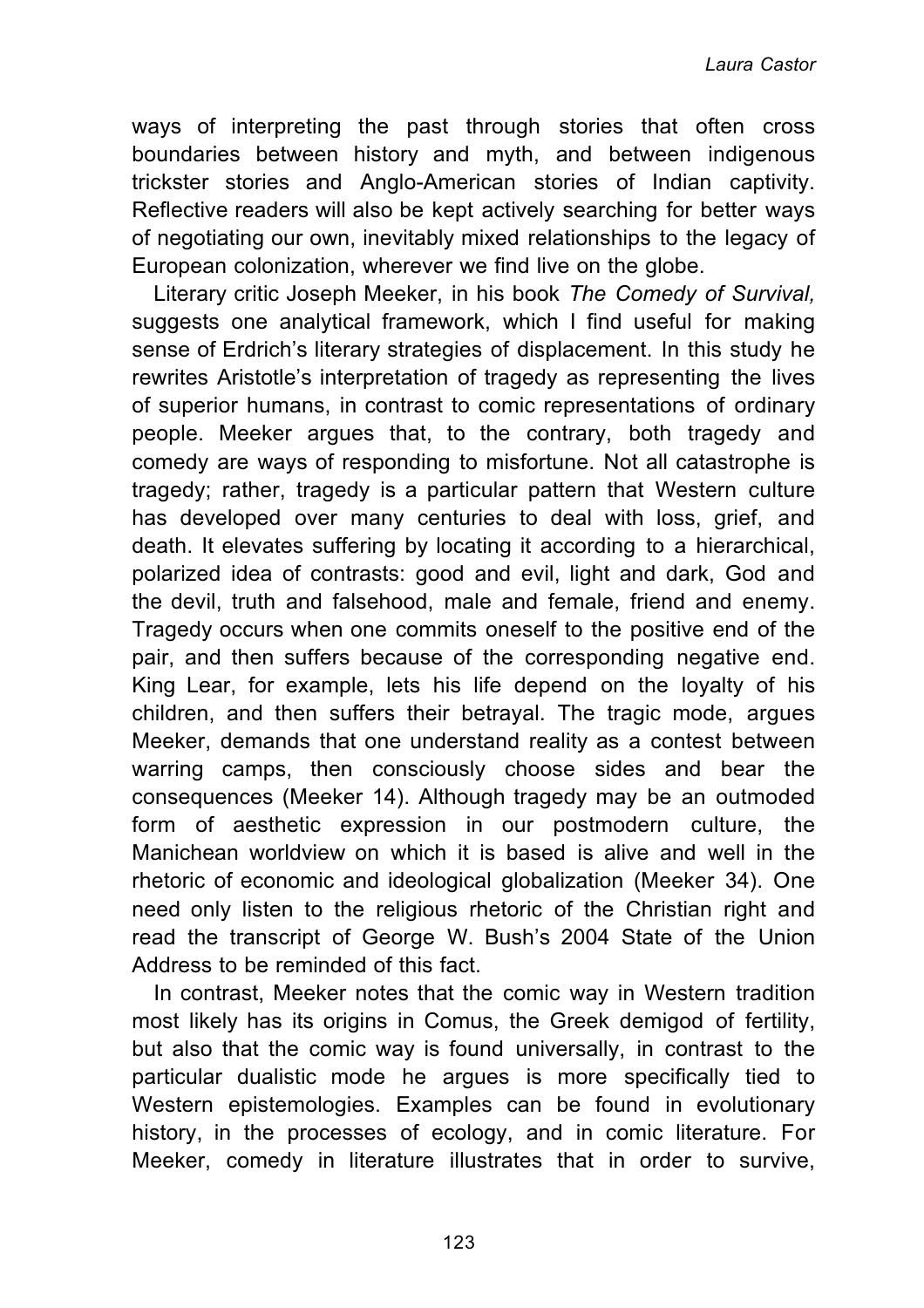ways of interpreting the past through stories that often cross boundaries between history and myth, and between indigenous trickster stories and Anglo-American stories of Indian captivity. Reflective readers will also be kept actively searching for better ways of negotiating our own, inevitably mixed relationships to the legacy of European colonization, wherever we find live on the globe.

Literary critic Joseph Meeker, in his book *The Comedy of Survival,* suggests one analytical framework, which I find useful for making sense of Erdrich's literary strategies of displacement. In this study he rewrites Aristotle's interpretation of tragedy as representing the lives of superior humans, in contrast to comic representations of ordinary people. Meeker argues that, to the contrary, both tragedy and comedy are ways of responding to misfortune. Not all catastrophe is tragedy; rather, tragedy is a particular pattern that Western culture has developed over many centuries to deal with loss, grief, and death. It elevates suffering by locating it according to a hierarchical, polarized idea of contrasts: good and evil, light and dark, God and the devil, truth and falsehood, male and female, friend and enemy. Tragedy occurs when one commits oneself to the positive end of the pair, and then suffers because of the corresponding negative end. King Lear, for example, lets his life depend on the loyalty of his children, and then suffers their betrayal. The tragic mode, argues Meeker, demands that one understand reality as a contest between warring camps, then consciously choose sides and bear the consequences (Meeker 14). Although tragedy may be an outmoded form of aesthetic expression in our postmodern culture, the Manichean worldview on which it is based is alive and well in the rhetoric of economic and ideological globalization (Meeker 34). One need only listen to the religious rhetoric of the Christian right and read the transcript of George W. Bush's 2004 State of the Union Address to be reminded of this fact.

In contrast, Meeker notes that the comic way in Western tradition most likely has its origins in Comus, the Greek demigod of fertility, but also that the comic way is found universally, in contrast to the particular dualistic mode he argues is more specifically tied to Western epistemologies. Examples can be found in evolutionary history, in the processes of ecology, and in comic literature. For Meeker, comedy in literature illustrates that in order to survive,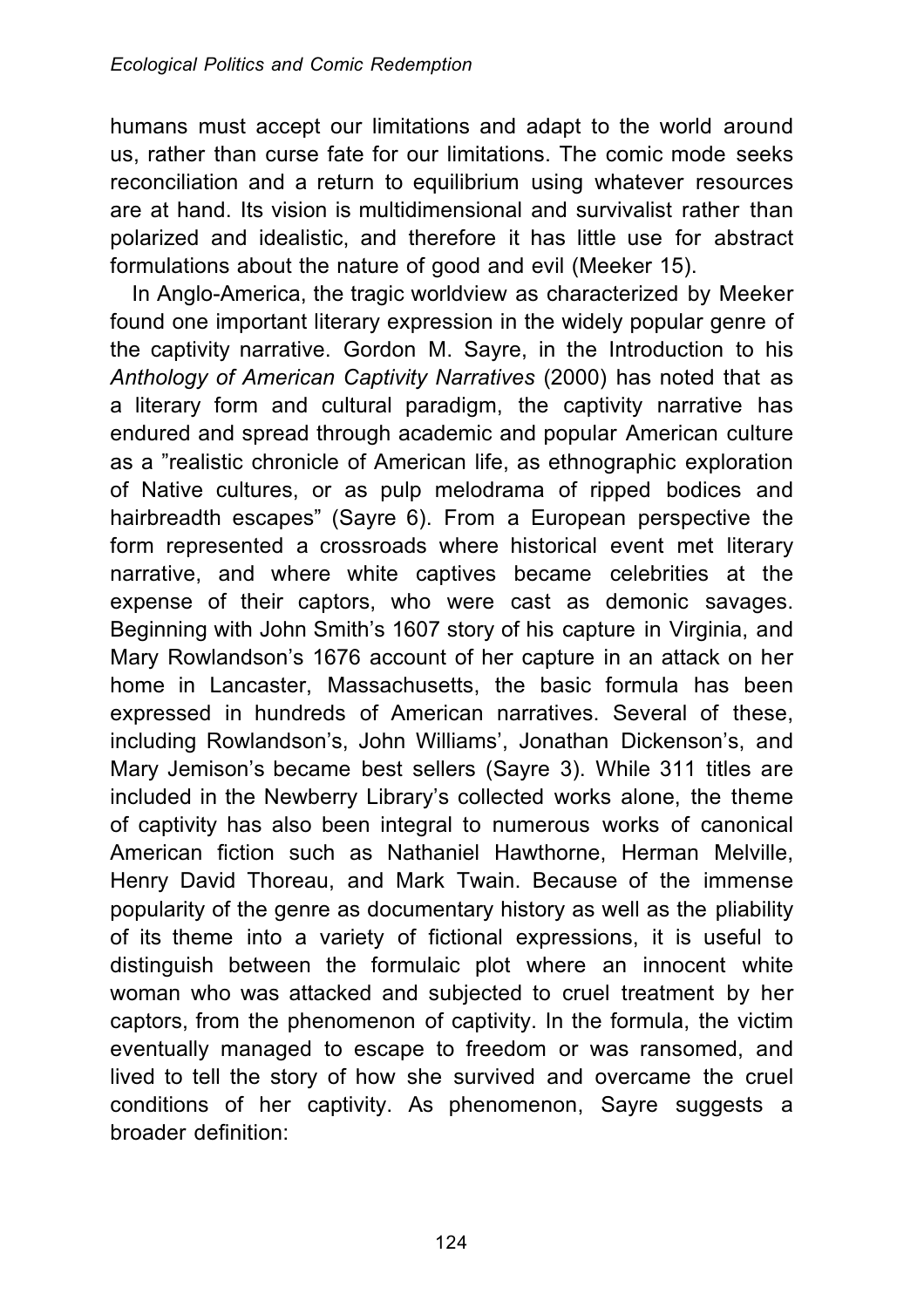humans must accept our limitations and adapt to the world around us, rather than curse fate for our limitations. The comic mode seeks reconciliation and a return to equilibrium using whatever resources are at hand. Its vision is multidimensional and survivalist rather than polarized and idealistic, and therefore it has little use for abstract formulations about the nature of good and evil (Meeker 15).

In Anglo-America, the tragic worldview as characterized by Meeker found one important literary expression in the widely popular genre of the captivity narrative. Gordon M. Sayre, in the Introduction to his *Anthology of American Captivity Narratives* (2000) has noted that as a literary form and cultural paradigm, the captivity narrative has endured and spread through academic and popular American culture as a "realistic chronicle of American life, as ethnographic exploration of Native cultures, or as pulp melodrama of ripped bodices and hairbreadth escapes" (Sayre 6). From a European perspective the form represented a crossroads where historical event met literary narrative, and where white captives became celebrities at the expense of their captors, who were cast as demonic savages. Beginning with John Smith's 1607 story of his capture in Virginia, and Mary Rowlandson's 1676 account of her capture in an attack on her home in Lancaster, Massachusetts, the basic formula has been expressed in hundreds of American narratives. Several of these, including Rowlandson's, John Williams', Jonathan Dickenson's, and Mary Jemison's became best sellers (Sayre 3). While 311 titles are included in the Newberry Library's collected works alone, the theme of captivity has also been integral to numerous works of canonical American fiction such as Nathaniel Hawthorne, Herman Melville, Henry David Thoreau, and Mark Twain. Because of the immense popularity of the genre as documentary history as well as the pliability of its theme into a variety of fictional expressions, it is useful to distinguish between the formulaic plot where an innocent white woman who was attacked and subjected to cruel treatment by her captors, from the phenomenon of captivity. In the formula, the victim eventually managed to escape to freedom or was ransomed, and lived to tell the story of how she survived and overcame the cruel conditions of her captivity. As phenomenon, Sayre suggests a broader definition: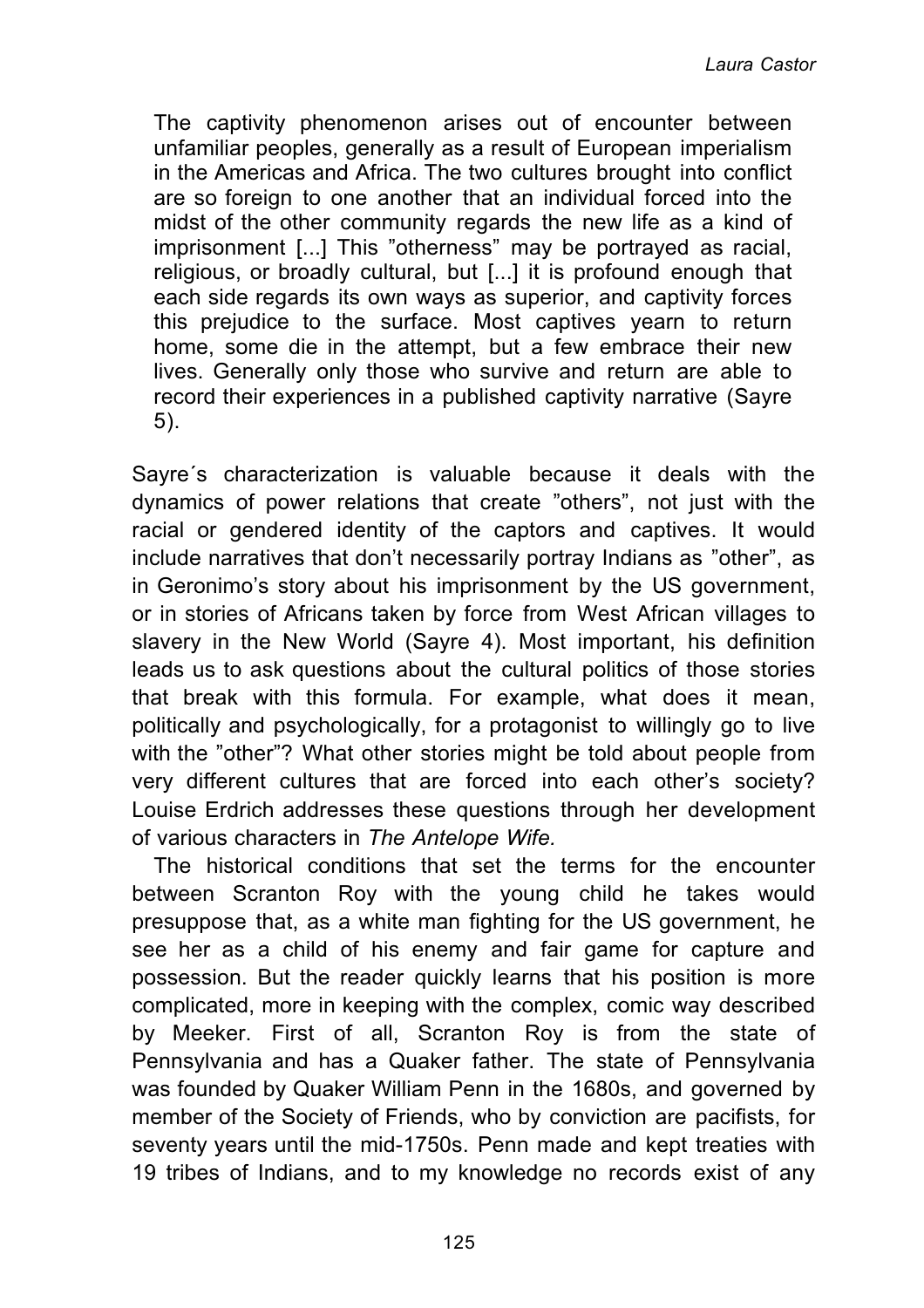The captivity phenomenon arises out of encounter between unfamiliar peoples, generally as a result of European imperialism in the Americas and Africa. The two cultures brought into conflict are so foreign to one another that an individual forced into the midst of the other community regards the new life as a kind of imprisonment [...] This "otherness" may be portrayed as racial, religious, or broadly cultural, but [...] it is profound enough that each side regards its own ways as superior, and captivity forces this prejudice to the surface. Most captives yearn to return home, some die in the attempt, but a few embrace their new lives. Generally only those who survive and return are able to record their experiences in a published captivity narrative (Sayre 5).

Sayre´s characterization is valuable because it deals with the dynamics of power relations that create "others", not just with the racial or gendered identity of the captors and captives. It would include narratives that don't necessarily portray Indians as "other", as in Geronimo's story about his imprisonment by the US government, or in stories of Africans taken by force from West African villages to slavery in the New World (Sayre 4). Most important, his definition leads us to ask questions about the cultural politics of those stories that break with this formula. For example, what does it mean, politically and psychologically, for a protagonist to willingly go to live with the "other"? What other stories might be told about people from very different cultures that are forced into each other's society? Louise Erdrich addresses these questions through her development of various characters in *The Antelope Wife.*

The historical conditions that set the terms for the encounter between Scranton Roy with the young child he takes would presuppose that, as a white man fighting for the US government, he see her as a child of his enemy and fair game for capture and possession. But the reader quickly learns that his position is more complicated, more in keeping with the complex, comic way described by Meeker. First of all, Scranton Roy is from the state of Pennsylvania and has a Quaker father. The state of Pennsylvania was founded by Quaker William Penn in the 1680s, and governed by member of the Society of Friends, who by conviction are pacifists, for seventy years until the mid-1750s. Penn made and kept treaties with 19 tribes of Indians, and to my knowledge no records exist of any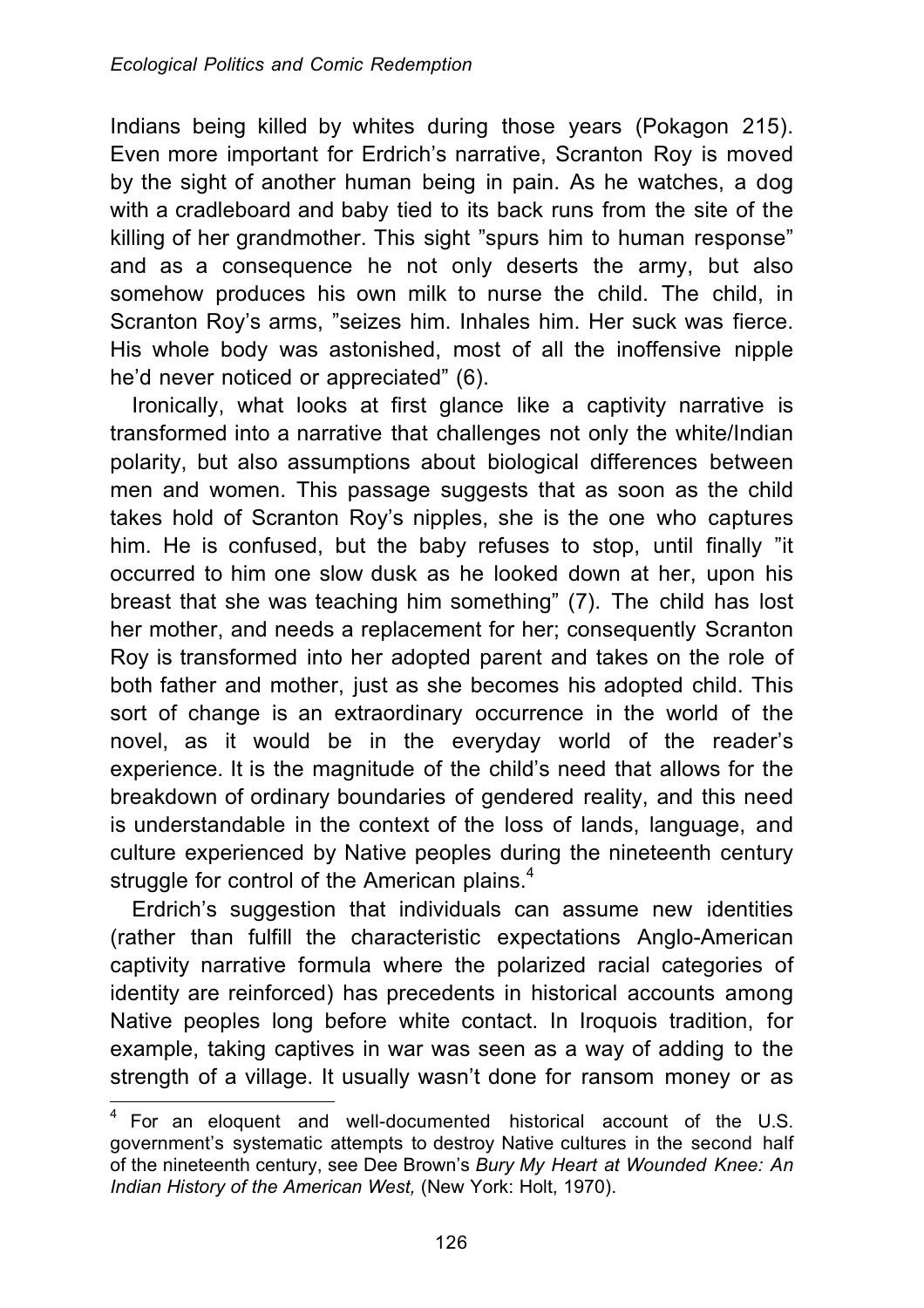Indians being killed by whites during those years (Pokagon 215). Even more important for Erdrich's narrative, Scranton Roy is moved by the sight of another human being in pain. As he watches, a dog with a cradleboard and baby tied to its back runs from the site of the killing of her grandmother. This sight "spurs him to human response" and as a consequence he not only deserts the army, but also somehow produces his own milk to nurse the child. The child, in Scranton Roy's arms, "seizes him. Inhales him. Her suck was fierce. His whole body was astonished, most of all the inoffensive nipple he'd never noticed or appreciated" (6).

Ironically, what looks at first glance like a captivity narrative is transformed into a narrative that challenges not only the white/Indian polarity, but also assumptions about biological differences between men and women. This passage suggests that as soon as the child takes hold of Scranton Roy's nipples, she is the one who captures him. He is confused, but the baby refuses to stop, until finally "it occurred to him one slow dusk as he looked down at her, upon his breast that she was teaching him something" (7). The child has lost her mother, and needs a replacement for her; consequently Scranton Roy is transformed into her adopted parent and takes on the role of both father and mother, just as she becomes his adopted child. This sort of change is an extraordinary occurrence in the world of the novel, as it would be in the everyday world of the reader's experience. It is the magnitude of the child's need that allows for the breakdown of ordinary boundaries of gendered reality, and this need is understandable in the context of the loss of lands, language, and culture experienced by Native peoples during the nineteenth century struggle for control of the American plains.<sup>4</sup>

Erdrich's suggestion that individuals can assume new identities (rather than fulfill the characteristic expectations Anglo-American captivity narrative formula where the polarized racial categories of identity are reinforced) has precedents in historical accounts among Native peoples long before white contact. In Iroquois tradition, for example, taking captives in war was seen as a way of adding to the strength of a village. It usually wasn't done for ransom money or as

 $\overline{a}$ 

 $4$  For an eloquent and well-documented historical account of the U.S. government's systematic attempts to destroy Native cultures in the second half of the nineteenth century, see Dee Brown's *Bury My Heart at Wounded Knee: An Indian History of the American West,* (New York: Holt, 1970).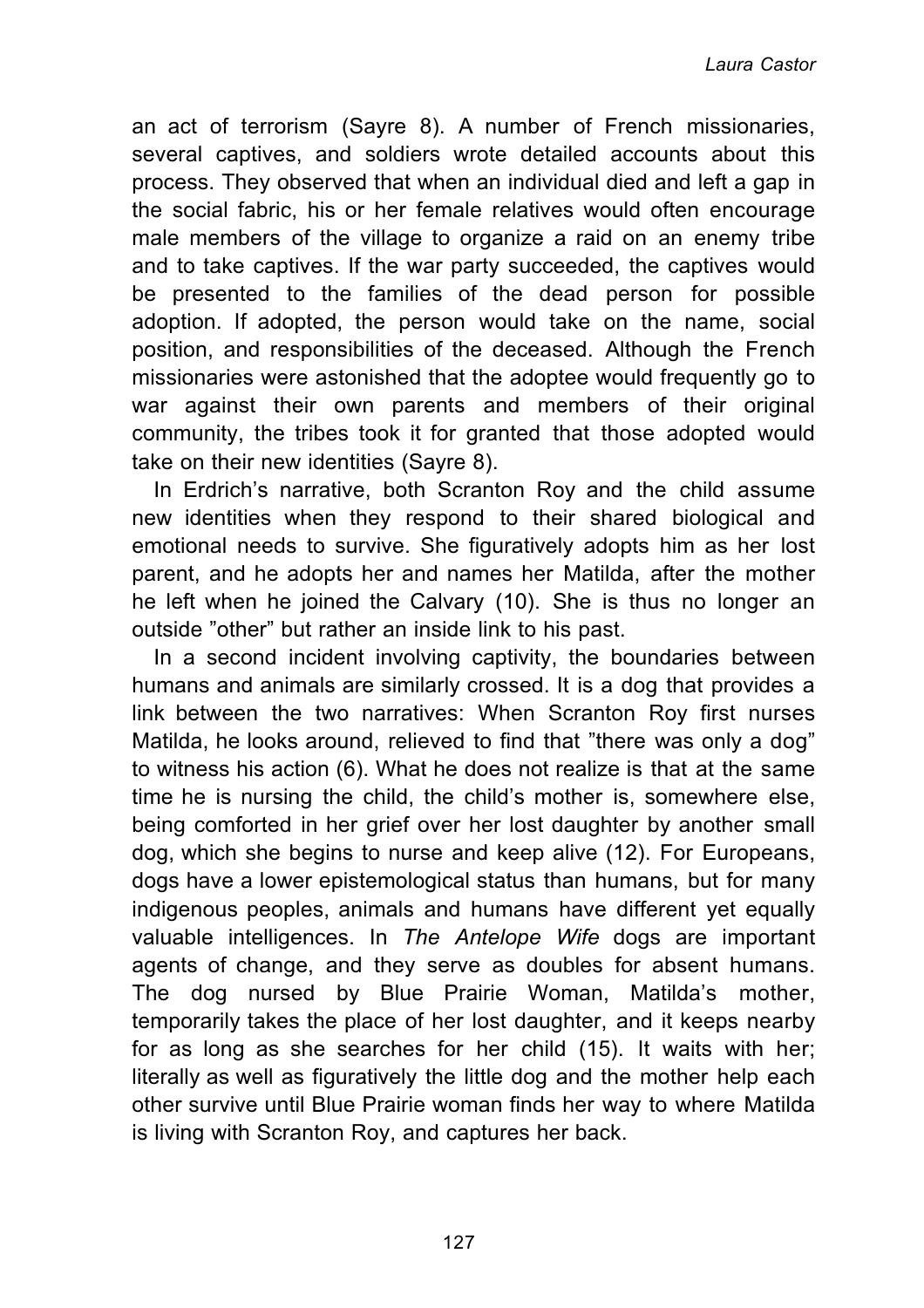an act of terrorism (Sayre 8). A number of French missionaries, several captives, and soldiers wrote detailed accounts about this process. They observed that when an individual died and left a gap in the social fabric, his or her female relatives would often encourage male members of the village to organize a raid on an enemy tribe and to take captives. If the war party succeeded, the captives would be presented to the families of the dead person for possible adoption. If adopted, the person would take on the name, social position, and responsibilities of the deceased. Although the French missionaries were astonished that the adoptee would frequently go to war against their own parents and members of their original community, the tribes took it for granted that those adopted would take on their new identities (Sayre 8).

In Erdrich's narrative, both Scranton Roy and the child assume new identities when they respond to their shared biological and emotional needs to survive. She figuratively adopts him as her lost parent, and he adopts her and names her Matilda, after the mother he left when he joined the Calvary (10). She is thus no longer an outside "other" but rather an inside link to his past.

In a second incident involving captivity, the boundaries between humans and animals are similarly crossed. It is a dog that provides a link between the two narratives: When Scranton Roy first nurses Matilda, he looks around, relieved to find that "there was only a dog" to witness his action (6). What he does not realize is that at the same time he is nursing the child, the child's mother is, somewhere else, being comforted in her grief over her lost daughter by another small dog, which she begins to nurse and keep alive (12). For Europeans, dogs have a lower epistemological status than humans, but for many indigenous peoples, animals and humans have different yet equally valuable intelligences. In *The Antelope Wife* dogs are important agents of change, and they serve as doubles for absent humans. The dog nursed by Blue Prairie Woman, Matilda's mother, temporarily takes the place of her lost daughter, and it keeps nearby for as long as she searches for her child (15). It waits with her; literally as well as figuratively the little dog and the mother help each other survive until Blue Prairie woman finds her way to where Matilda is living with Scranton Roy, and captures her back.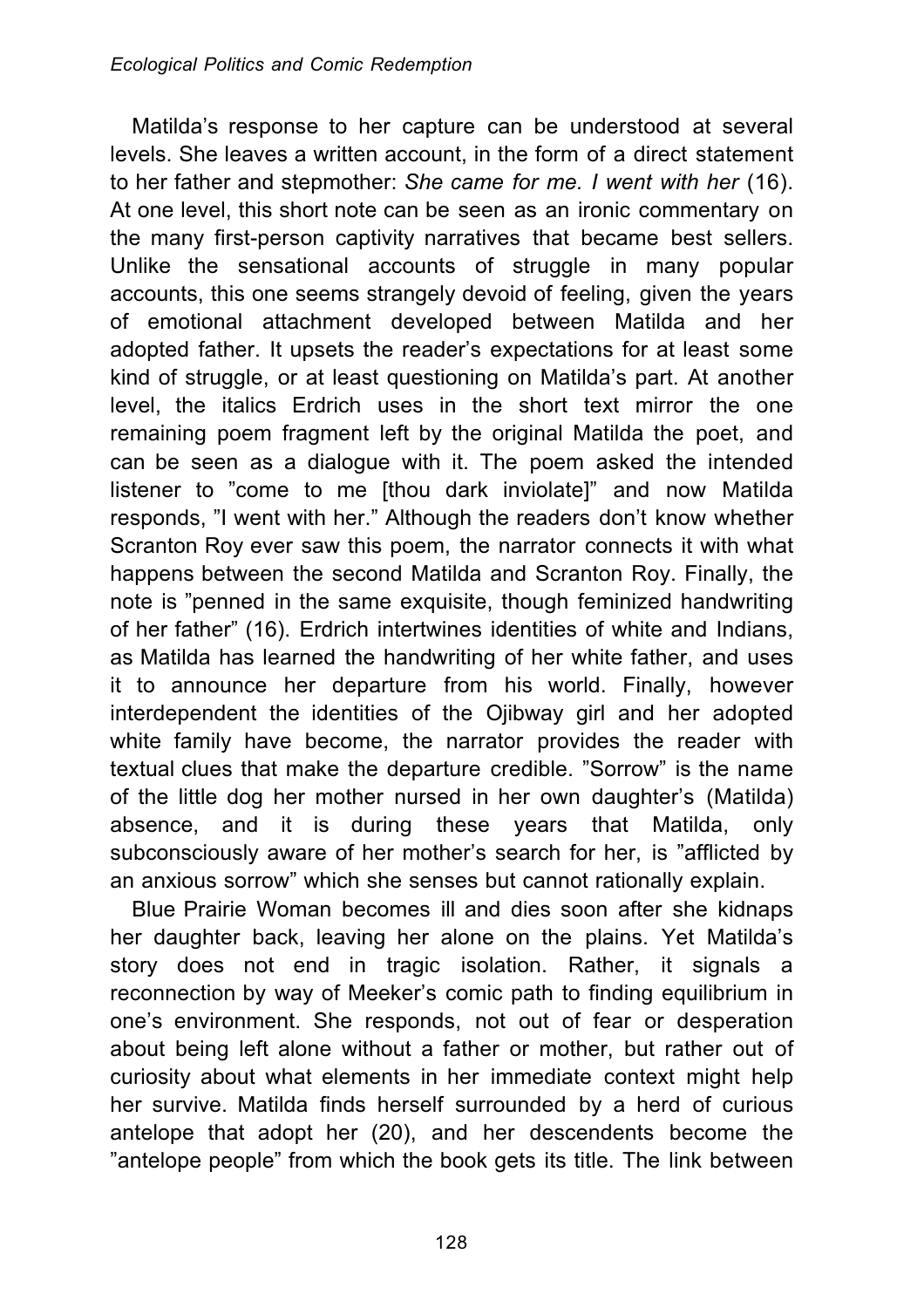Matilda's response to her capture can be understood at several levels. She leaves a written account, in the form of a direct statement to her father and stepmother: *She came for me. I went with her* (16). At one level, this short note can be seen as an ironic commentary on the many first-person captivity narratives that became best sellers. Unlike the sensational accounts of struggle in many popular accounts, this one seems strangely devoid of feeling, given the years of emotional attachment developed between Matilda and her adopted father. It upsets the reader's expectations for at least some kind of struggle, or at least questioning on Matilda's part. At another level, the italics Erdrich uses in the short text mirror the one remaining poem fragment left by the original Matilda the poet, and can be seen as a dialogue with it. The poem asked the intended listener to "come to me [thou dark inviolate]" and now Matilda responds, "I went with her." Although the readers don't know whether Scranton Roy ever saw this poem, the narrator connects it with what happens between the second Matilda and Scranton Roy. Finally, the note is "penned in the same exquisite, though feminized handwriting of her father" (16). Erdrich intertwines identities of white and Indians, as Matilda has learned the handwriting of her white father, and uses it to announce her departure from his world. Finally, however interdependent the identities of the Ojibway girl and her adopted white family have become, the narrator provides the reader with textual clues that make the departure credible. "Sorrow" is the name of the little dog her mother nursed in her own daughter's (Matilda) absence, and it is during these years that Matilda, only subconsciously aware of her mother's search for her, is "afflicted by an anxious sorrow" which she senses but cannot rationally explain.

Blue Prairie Woman becomes ill and dies soon after she kidnaps her daughter back, leaving her alone on the plains. Yet Matilda's story does not end in tragic isolation. Rather, it signals a reconnection by way of Meeker's comic path to finding equilibrium in one's environment. She responds, not out of fear or desperation about being left alone without a father or mother, but rather out of curiosity about what elements in her immediate context might help her survive. Matilda finds herself surrounded by a herd of curious antelope that adopt her (20), and her descendents become the "antelope people" from which the book gets its title. The link between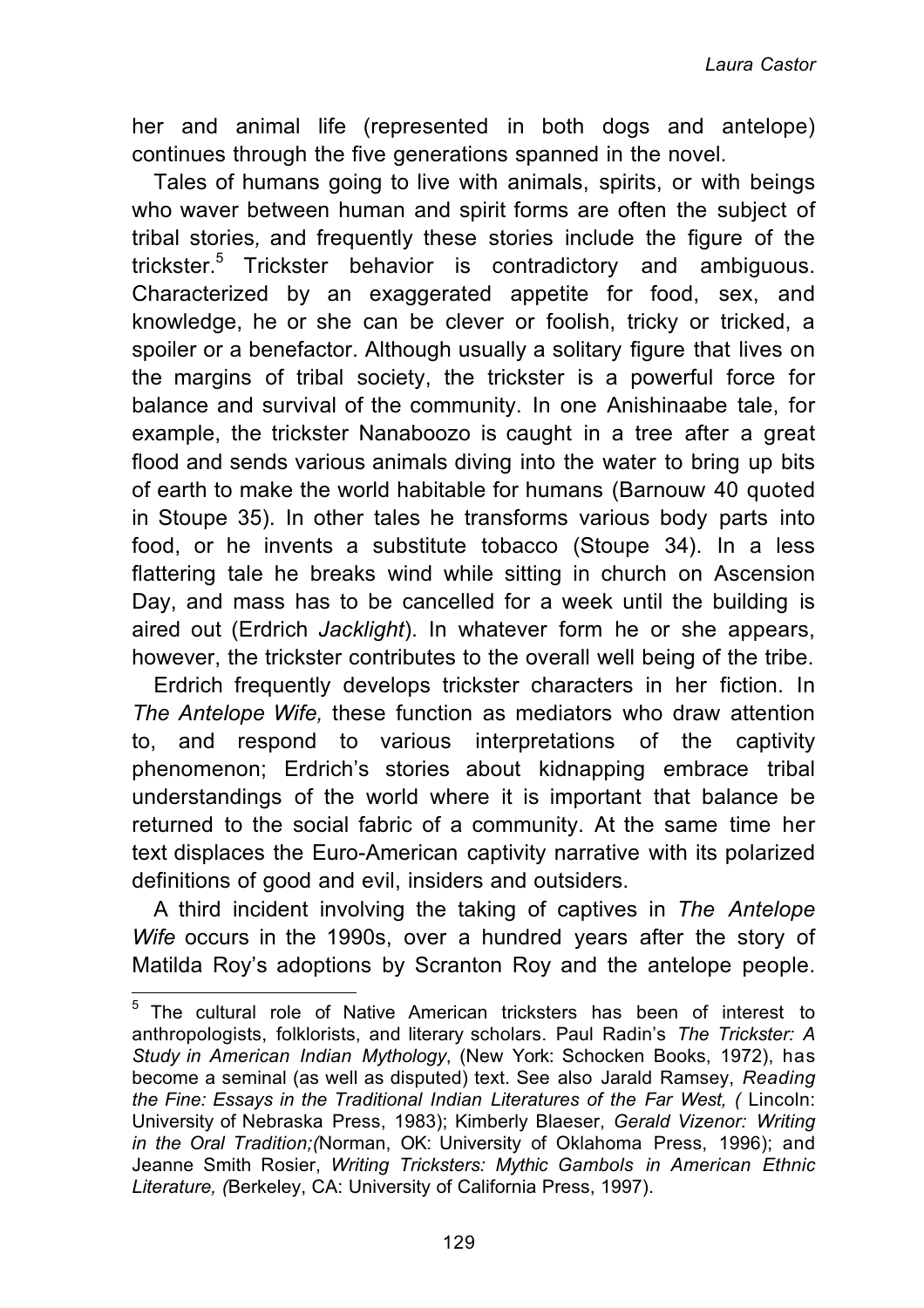her and animal life (represented in both dogs and antelope) continues through the five generations spanned in the novel.

Tales of humans going to live with animals, spirits, or with beings who waver between human and spirit forms are often the subject of tribal stories*,* and frequently these stories include the figure of the trickster.<sup>5</sup> Trickster behavior is contradictory and ambiguous. Characterized by an exaggerated appetite for food, sex, and knowledge, he or she can be clever or foolish, tricky or tricked, a spoiler or a benefactor. Although usually a solitary figure that lives on the margins of tribal society, the trickster is a powerful force for balance and survival of the community. In one Anishinaabe tale, for example, the trickster Nanaboozo is caught in a tree after a great flood and sends various animals diving into the water to bring up bits of earth to make the world habitable for humans (Barnouw 40 quoted in Stoupe 35). In other tales he transforms various body parts into food, or he invents a substitute tobacco (Stoupe 34). In a less flattering tale he breaks wind while sitting in church on Ascension Day, and mass has to be cancelled for a week until the building is aired out (Erdrich *Jacklight*). In whatever form he or she appears, however, the trickster contributes to the overall well being of the tribe.

Erdrich frequently develops trickster characters in her fiction. In *The Antelope Wife,* these function as mediators who draw attention to, and respond to various interpretations of the captivity phenomenon; Erdrich's stories about kidnapping embrace tribal understandings of the world where it is important that balance be returned to the social fabric of a community. At the same time her text displaces the Euro-American captivity narrative with its polarized definitions of good and evil, insiders and outsiders.

A third incident involving the taking of captives in *The Antelope Wife* occurs in the 1990s, over a hundred years after the story of Matilda Roy's adoptions by Scranton Roy and the antelope people.

 $\overline{a}$ 

 $5$  The cultural role of Native American tricksters has been of interest to anthropologists, folklorists, and literary scholars. Paul Radin's *The Trickster: A Study in American Indian Mythology*, (New York: Schocken Books, 1972), has become a seminal (as well as disputed) text. See also Jarald Ramsey, *Reading the Fine: Essays in the Traditional Indian Literatures of the Far West, (* Lincoln: University of Nebraska Press, 1983); Kimberly Blaeser, *Gerald Vizenor: Writing in the Oral Tradition;(*Norman, OK: University of Oklahoma Press, 1996); and Jeanne Smith Rosier, *Writing Tricksters: Mythic Gambols in American Ethnic Literature, (*Berkeley, CA: University of California Press, 1997).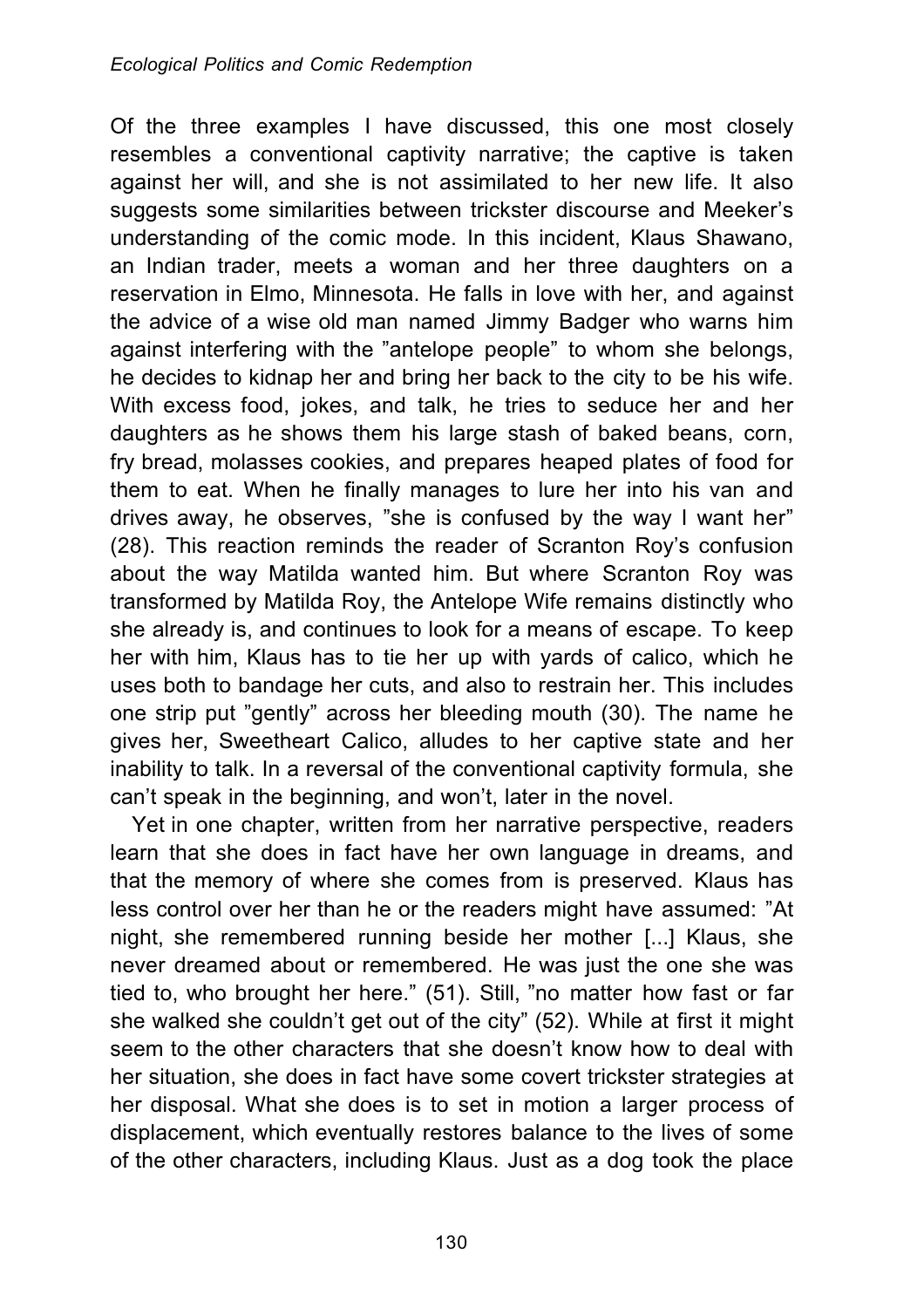Of the three examples I have discussed, this one most closely resembles a conventional captivity narrative; the captive is taken against her will, and she is not assimilated to her new life. It also suggests some similarities between trickster discourse and Meeker's understanding of the comic mode. In this incident, Klaus Shawano, an Indian trader, meets a woman and her three daughters on a reservation in Elmo, Minnesota. He falls in love with her, and against the advice of a wise old man named Jimmy Badger who warns him against interfering with the "antelope people" to whom she belongs, he decides to kidnap her and bring her back to the city to be his wife. With excess food, jokes, and talk, he tries to seduce her and her daughters as he shows them his large stash of baked beans, corn, fry bread, molasses cookies, and prepares heaped plates of food for them to eat. When he finally manages to lure her into his van and drives away, he observes, "she is confused by the way I want her" (28). This reaction reminds the reader of Scranton Roy's confusion about the way Matilda wanted him. But where Scranton Roy was transformed by Matilda Roy, the Antelope Wife remains distinctly who she already is, and continues to look for a means of escape. To keep her with him, Klaus has to tie her up with yards of calico, which he uses both to bandage her cuts, and also to restrain her. This includes one strip put "gently" across her bleeding mouth (30). The name he gives her, Sweetheart Calico, alludes to her captive state and her inability to talk. In a reversal of the conventional captivity formula, she can't speak in the beginning, and won't, later in the novel.

Yet in one chapter, written from her narrative perspective, readers learn that she does in fact have her own language in dreams, and that the memory of where she comes from is preserved. Klaus has less control over her than he or the readers might have assumed: "At night, she remembered running beside her mother [...] Klaus, she never dreamed about or remembered. He was just the one she was tied to, who brought her here." (51). Still, "no matter how fast or far she walked she couldn't get out of the city" (52). While at first it might seem to the other characters that she doesn't know how to deal with her situation, she does in fact have some covert trickster strategies at her disposal. What she does is to set in motion a larger process of displacement, which eventually restores balance to the lives of some of the other characters, including Klaus. Just as a dog took the place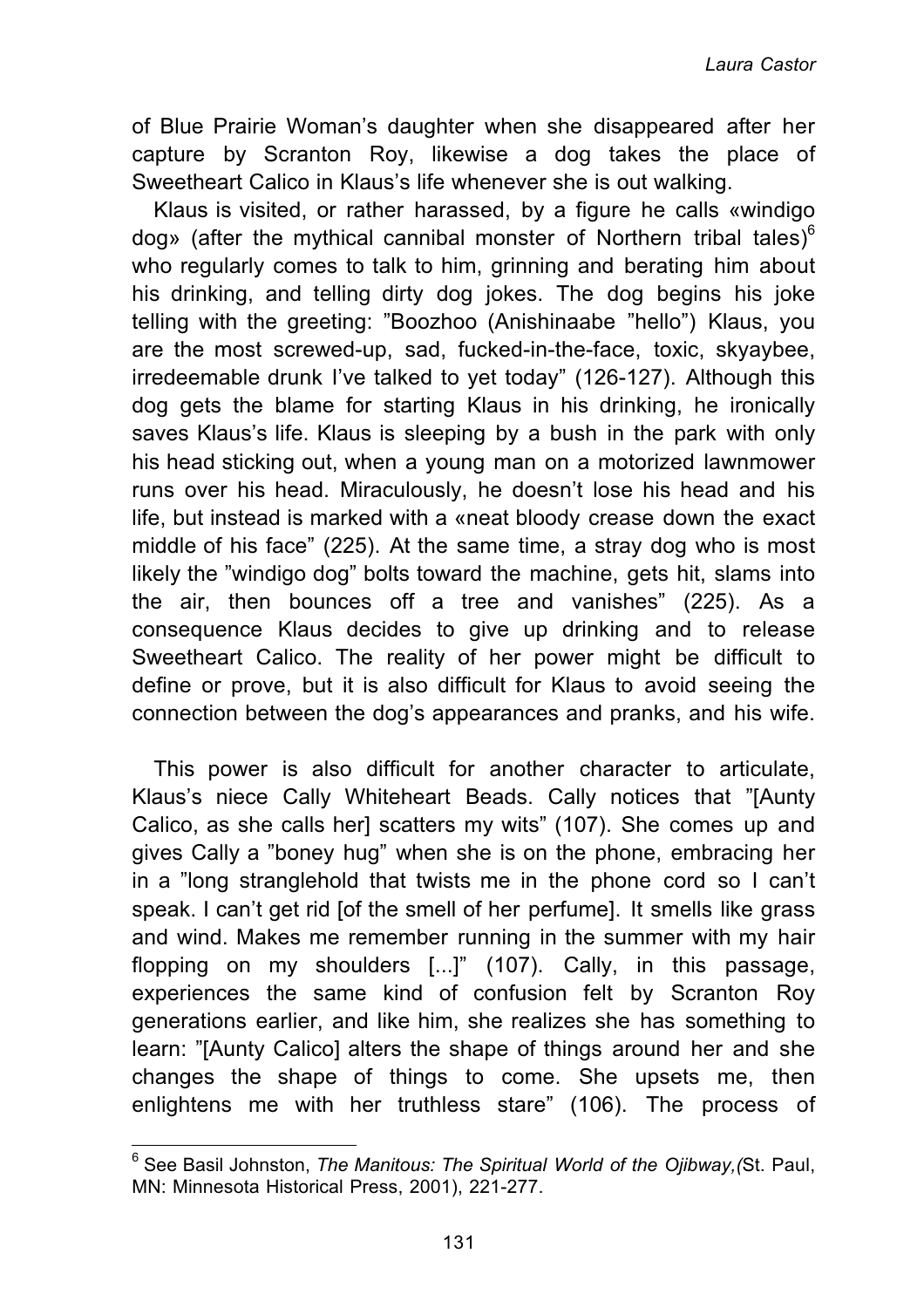of Blue Prairie Woman's daughter when she disappeared after her capture by Scranton Roy, likewise a dog takes the place of Sweetheart Calico in Klaus's life whenever she is out walking.

Klaus is visited, or rather harassed, by a figure he calls «windigo dog» (after the mythical cannibal monster of Northern tribal tales)<sup>6</sup> who regularly comes to talk to him, grinning and berating him about his drinking, and telling dirty dog jokes. The dog begins his joke telling with the greeting: "Boozhoo (Anishinaabe "hello") Klaus, you are the most screwed-up, sad, fucked-in-the-face, toxic, skyaybee, irredeemable drunk I've talked to yet today" (126-127). Although this dog gets the blame for starting Klaus in his drinking, he ironically saves Klaus's life. Klaus is sleeping by a bush in the park with only his head sticking out, when a young man on a motorized lawnmower runs over his head. Miraculously, he doesn't lose his head and his life, but instead is marked with a «neat bloody crease down the exact middle of his face" (225). At the same time, a stray dog who is most likely the "windigo dog" bolts toward the machine, gets hit, slams into the air, then bounces off a tree and vanishes" (225). As a consequence Klaus decides to give up drinking and to release Sweetheart Calico. The reality of her power might be difficult to define or prove, but it is also difficult for Klaus to avoid seeing the connection between the dog's appearances and pranks, and his wife.

This power is also difficult for another character to articulate, Klaus's niece Cally Whiteheart Beads. Cally notices that "[Aunty Calico, as she calls her] scatters my wits" (107). She comes up and gives Cally a "boney hug" when she is on the phone, embracing her in a "long stranglehold that twists me in the phone cord so I can't speak. I can't get rid [of the smell of her perfume]. It smells like grass and wind. Makes me remember running in the summer with my hair flopping on my shoulders [...]" (107). Cally, in this passage, experiences the same kind of confusion felt by Scranton Roy generations earlier, and like him, she realizes she has something to learn: "[Aunty Calico] alters the shape of things around her and she changes the shape of things to come. She upsets me, then enlightens me with her truthless stare" (106). The process of

 $\overline{a}$ 

<sup>6</sup> See Basil Johnston, *The Manitous: The Spiritual World of the Ojibway,(*St. Paul, MN: Minnesota Historical Press, 2001), 221-277.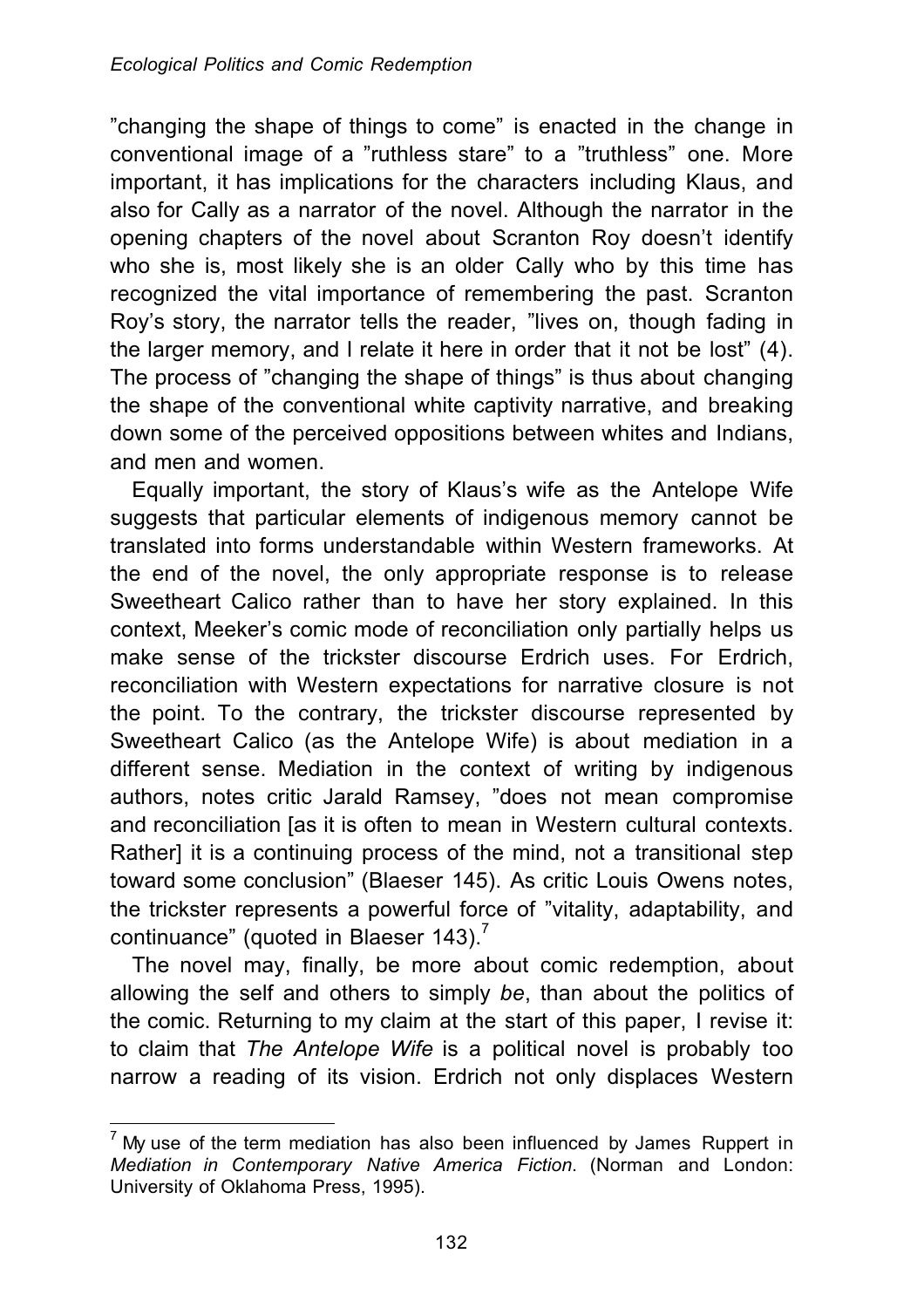"changing the shape of things to come" is enacted in the change in conventional image of a "ruthless stare" to a "truthless" one. More important, it has implications for the characters including Klaus, and also for Cally as a narrator of the novel. Although the narrator in the opening chapters of the novel about Scranton Roy doesn't identify who she is, most likely she is an older Cally who by this time has recognized the vital importance of remembering the past. Scranton Roy's story, the narrator tells the reader, "lives on, though fading in the larger memory, and I relate it here in order that it not be lost" (4). The process of "changing the shape of things" is thus about changing the shape of the conventional white captivity narrative, and breaking down some of the perceived oppositions between whites and Indians, and men and women.

Equally important, the story of Klaus's wife as the Antelope Wife suggests that particular elements of indigenous memory cannot be translated into forms understandable within Western frameworks. At the end of the novel, the only appropriate response is to release Sweetheart Calico rather than to have her story explained. In this context, Meeker's comic mode of reconciliation only partially helps us make sense of the trickster discourse Erdrich uses. For Erdrich, reconciliation with Western expectations for narrative closure is not the point. To the contrary, the trickster discourse represented by Sweetheart Calico (as the Antelope Wife) is about mediation in a different sense. Mediation in the context of writing by indigenous authors, notes critic Jarald Ramsey, "does not mean compromise and reconciliation [as it is often to mean in Western cultural contexts. Rather] it is a continuing process of the mind, not a transitional step toward some conclusion" (Blaeser 145). As critic Louis Owens notes, the trickster represents a powerful force of "vitality, adaptability, and continuance" (quoted in Blaeser 143).<sup>7</sup>

The novel may, finally, be more about comic redemption, about allowing the self and others to simply *be*, than about the politics of the comic. Returning to my claim at the start of this paper, I revise it: to claim that *The Antelope Wife* is a political novel is probably too narrow a reading of its vision. Erdrich not only displaces Western

 $\overline{\phantom{a}}$  $<sup>7</sup>$  My use of the term mediation has also been influenced by James Ruppert in</sup> *Mediation in Contemporary Native America Fiction*. (Norman and London: University of Oklahoma Press, 1995).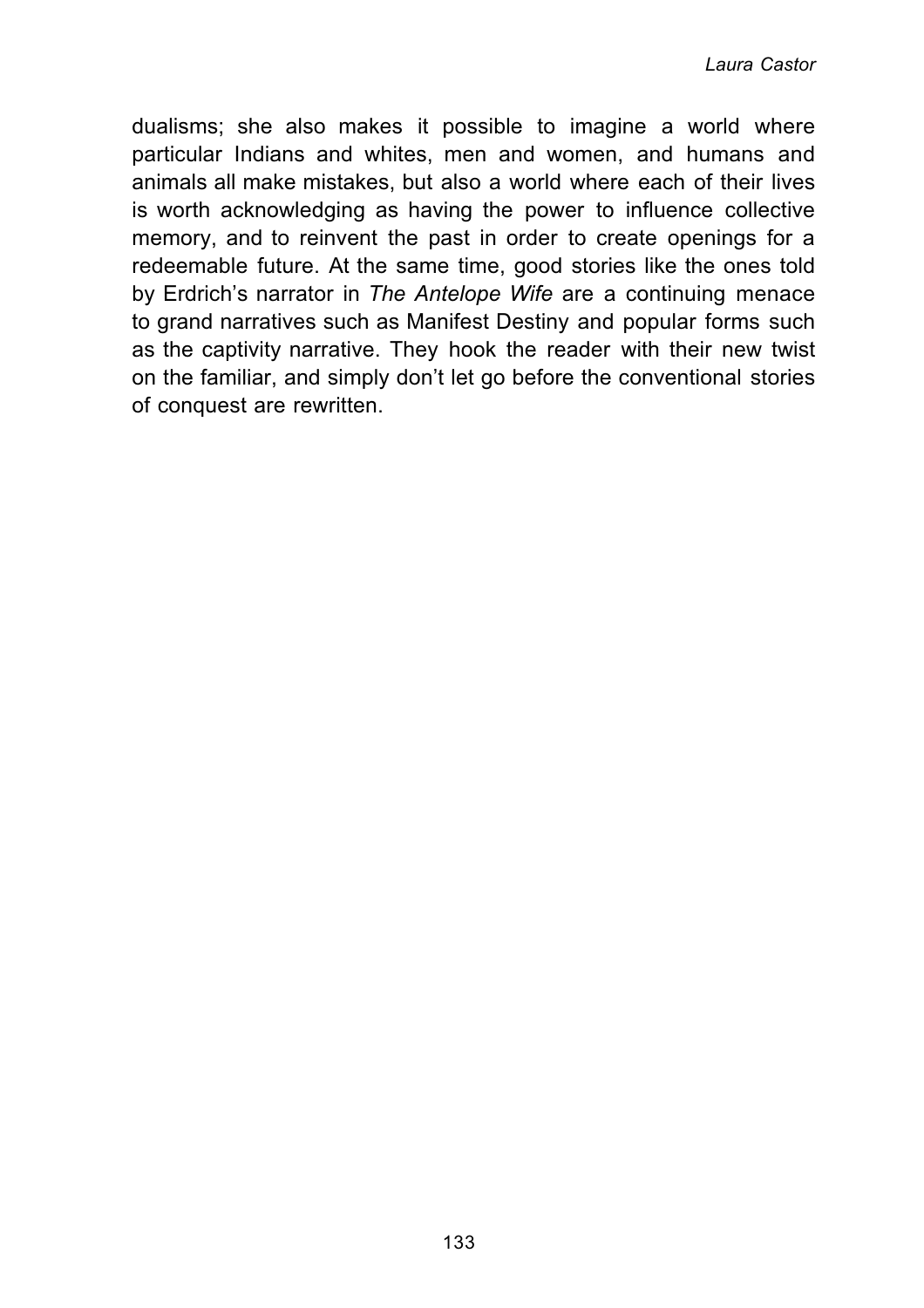dualisms; she also makes it possible to imagine a world where particular Indians and whites, men and women, and humans and animals all make mistakes, but also a world where each of their lives is worth acknowledging as having the power to influence collective memory, and to reinvent the past in order to create openings for a redeemable future. At the same time, good stories like the ones told by Erdrich's narrator in *The Antelope Wife* are a continuing menace to grand narratives such as Manifest Destiny and popular forms such as the captivity narrative. They hook the reader with their new twist on the familiar, and simply don't let go before the conventional stories of conquest are rewritten.